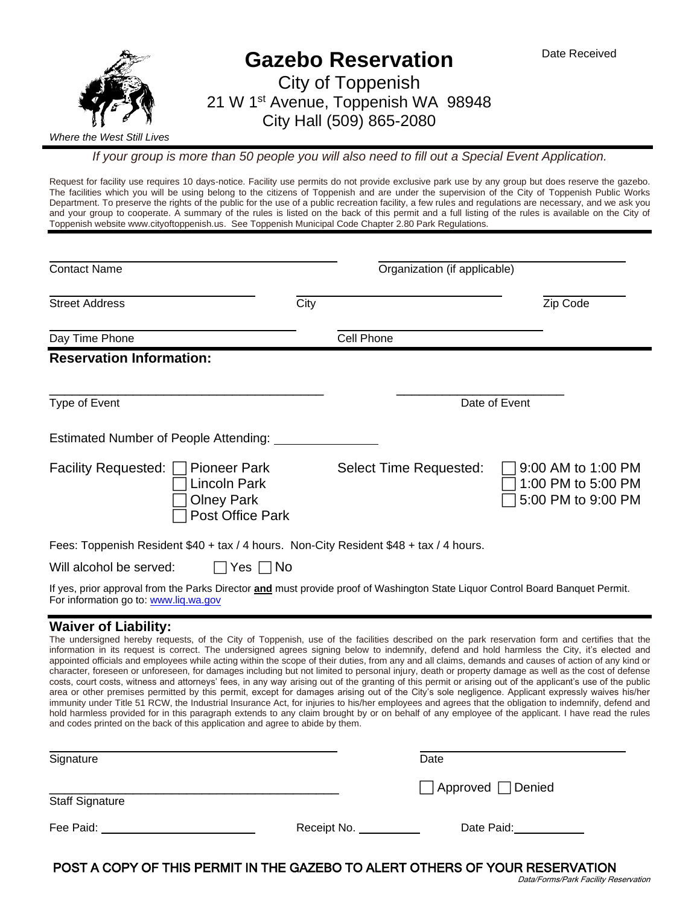

*If your group is more than 50 people you will also need to fill out a Special Event Application.*

Request for facility use requires 10 days-notice. Facility use permits do not provide exclusive park use by any group but does reserve the gazebo. The facilities which you will be using belong to the citizens of Toppenish and are under the supervision of the City of Toppenish Public Works Department. To preserve the rights of the public for the use of a public recreation facility, a few rules and regulations are necessary, and we ask you and your group to cooperate. A summary of the rules is listed on the back of this permit and a full listing of the rules is available on the City of Toppenish website www.cityoftoppenish.us. See Toppenish Municipal Code Chapter 2.80 Park Regulations.

| <b>Contact Name</b>                                                                                                                                                         |               | Organization (if applicable) |                                                                |  |
|-----------------------------------------------------------------------------------------------------------------------------------------------------------------------------|---------------|------------------------------|----------------------------------------------------------------|--|
| <b>Street Address</b>                                                                                                                                                       | City          |                              | Zip Code                                                       |  |
| Day Time Phone                                                                                                                                                              | Cell Phone    |                              |                                                                |  |
| <b>Reservation Information:</b>                                                                                                                                             |               |                              |                                                                |  |
| Type of Event                                                                                                                                                               | Date of Event |                              |                                                                |  |
| <b>Estimated Number of People Attending:</b>                                                                                                                                |               |                              |                                                                |  |
| <b>Facility Requested:</b><br><b>Pioneer Park</b><br>Lincoln Park<br><b>Olney Park</b><br>Post Office Park                                                                  |               | Select Time Requested:       | 9:00 AM to 1:00 PM<br>1:00 PM to 5:00 PM<br>5:00 PM to 9:00 PM |  |
| Fees: Toppenish Resident \$40 + tax / 4 hours. Non-City Resident \$48 + tax / 4 hours.                                                                                      |               |                              |                                                                |  |
| Will alcohol be served:                                                                                                                                                     | Yes $\Box$ No |                              |                                                                |  |
| If yes, prior approval from the Parks Director and must provide proof of Washington State Liquor Control Board Banquet Permit.<br>For information go to: www.lig.wa.gov     |               |                              |                                                                |  |
| <b>Waiver of Liability:</b><br>The understand bereful requeste of the City of Tennesish use of the facilities described on the park reservation ferm and certifies that the |               |                              |                                                                |  |

ed hereby requests, of the City of Toppenish, use of the facilities described on the information in its request is correct. The undersigned agrees signing below to indemnify, defend and hold harmless the City, it's elected and appointed officials and employees while acting within the scope of their duties, from any and all claims, demands and causes of action of any kind or character, foreseen or unforeseen, for damages including but not limited to personal injury, death or property damage as well as the cost of defense costs, court costs, witness and attorneys' fees, in any way arising out of the granting of this permit or arising out of the applicant's use of the public area or other premises permitted by this permit, except for damages arising out of the City's sole negligence. Applicant expressly waives his/her immunity under Title 51 RCW, the Industrial Insurance Act, for injuries to his/her employees and agrees that the obligation to indemnify, defend and hold harmless provided for in this paragraph extends to any claim brought by or on behalf of any employee of the applicant. I have read the rules and codes printed on the back of this application and agree to abide by them.

| Signature              |             | Date                |
|------------------------|-------------|---------------------|
| <b>Staff Signature</b> |             | □ Approved □ Denied |
| Fee Paid:              | Receipt No. | Date Paid:          |

POST A COPY OF THIS PERMIT IN THE GAZEBO TO ALERT OTHERS OF YOUR RESERVATION